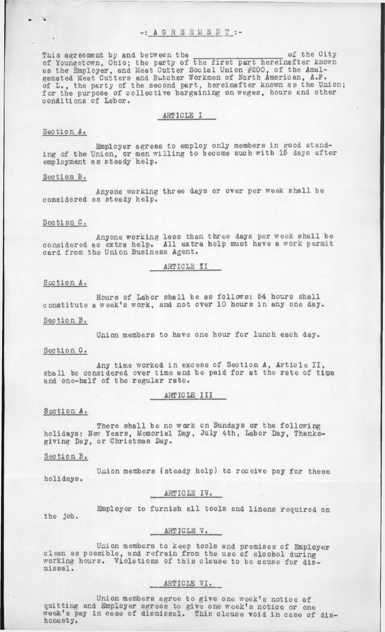This agreement by and between the week for the City of the City of Youngstown, Ohio; the party of the first part hereinafter known as the Employer, and Meat Cutter Social Union #200, of the Amalgamated Meat Cutters and Butcher Workmen of North American, A.F. of L., the party of the second part, hereinafter known as the Union; for the purpose of collective bargaining on wages, hours and other conditions of Labor.

### ARTICLE I

# Section A.

Employer agrees to employ only members in good standing of the Union, or men willing to become such with 15 days after employment as steady help.

### Section B.

Anyone working three days or over per week shall be considered as steady help.

#### Section C.

Anyone working less than three days per week shall be considered as extra help. All extra help must have a work permit card from the Union Business Agent.

ARTICLE II

## Section A.

Hours of Labor shall be as follows: 54 hours shall constitute a week's work, and not over 10 hours in any one day.

#### Section B.

Union members to have one hour for lunch each day.

#### Section C.

Any time worked in excess of Section A, Article II. shall be considered over time and be paid for at the rate of time and one-half of the regular rate.

ARTICLE III

## Section A.

There shall be no work on Sundays or the following holidays: New Years, Memorial Day, July 4th, Labor Day, Thanksgiving Day, or Christmas Day.

#### Section B.

Union members (steady help) to receive pay for these holidays.

## ARTICLE IV.

the job. Employer to furnish all tools and linens required on

#### ARTICLE V.

Union members to keep tools and premises of Employer clean as possible, and refrain from the use of alcohol during working hours. Violations of this clause to be cause for dismissal.

## ARTICLE VI.

Union members agree to give one week's notice of quitting and Employer agrees to give one week' s notice or one week's pay in case of dismissal. This clause void in case of dishonesty.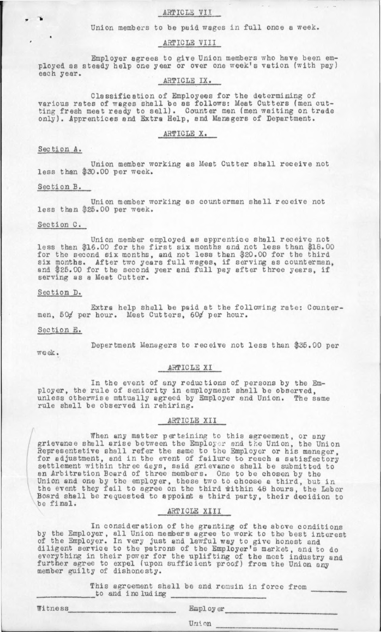## ARTICLE VII

Union members to be paid wages in full once a week.

## ARTICLE VIII

Employer agrees to give Union members who have been employed as steady help one year or over one week' s vation (with pay) each year.

## ARTICLE IX.

Classification of Employees for the determining of various rates of wages shall be as follows: Meat Cutters (men cutting fresh meat ready to sell). Counter men (men waiting on trade only). Apprentices and Extra Help, and Managers of Department.

## ARTICLE X.

### Section A.

*W* \*

Union member working as Meat Cutter shall receive not less than \$30.00 per week.

## Section B.

Union member working as counterman shall receive not less than \$25.00 per week.

## Section C.

Union member employed as apprentice shall receive not less than \$16.00 for the first six months and not less than \$18.00 for the second six months, and not less than \$20.00 for the third six months. After two years full wages, if serving as counterman, and \$25.00 for the second year and full pay after three years, if serving as a Meat Cutter.

## Section D.

Extra help shall be paid at the following rate: Countermen, 50¢ per hour. Meat Cutters, 60¢ per hour.

## Section E.

Department Managers to receive not less than \$35.00 per

week.

## ARTICLE XI

In the event of any reductions of persons by the Employer, the rule of seniority in employment shall be observed, unless otherwise mutually agreed by Employer and Union. The same rule shall be observed in rehiring.

## ARTICLE XII

When any matter pertaining to this agreement, or any grievance shall arise between the Employer and the Union, the Union Representative shall refer the same to the Employer or his manager, for adjustment, and in the event of failure to reach a satisfactory settlement within three days, said grievance shall be submitted to an Arbitration Board of three members. One to be chosen by the Union and one by the employer, these two to choose a third, but in the event they fail to agree on the third within 48 hours, the Labor Board shall be requested to appoint a third party, their decidion to be final.

### ARTICLE XIII

In consideration of the granting of the above conditions by the Employer, all Union members agree to work to the best interest of the Employer. In very just and lawful way to give honest and diligent service to the patrons of the Employer's market, and to do everything in their power for the uplifting of the meat industry and further agree to expel (upon sufficient proof) from the Union any member guilty of dishonesty.

> This agreement shall be and remain in force from to and including \_

Witness Employer

Uni on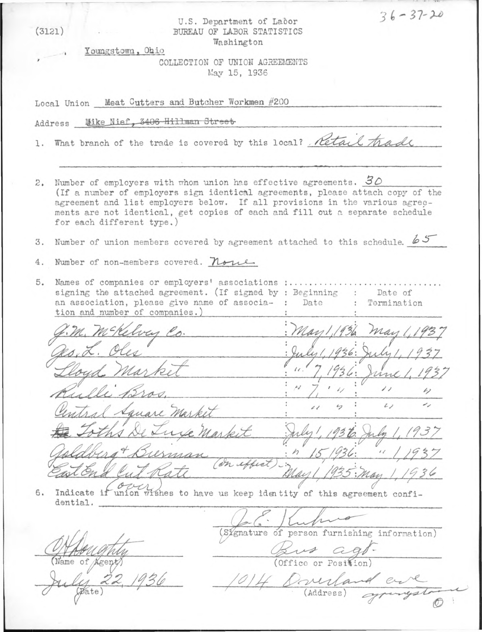| (3121)                                                                                       | U.S. Department of Labor<br>BUREAU OF LABOR STATISTICS<br>Washington                                                                                                                                                                                                                                                                             |                                                          | $36 - 37 - 20$           |  |
|----------------------------------------------------------------------------------------------|--------------------------------------------------------------------------------------------------------------------------------------------------------------------------------------------------------------------------------------------------------------------------------------------------------------------------------------------------|----------------------------------------------------------|--------------------------|--|
|                                                                                              | Youngstown, Ohio                                                                                                                                                                                                                                                                                                                                 |                                                          |                          |  |
|                                                                                              | COLLECTION OF UNION AGREEMENTS<br>May 15, 1936                                                                                                                                                                                                                                                                                                   |                                                          |                          |  |
| Local Union Meat Cutters and Butcher Workmen #200                                            |                                                                                                                                                                                                                                                                                                                                                  |                                                          |                          |  |
| Address Mike Nief, 3406 Hillman Street                                                       |                                                                                                                                                                                                                                                                                                                                                  |                                                          |                          |  |
|                                                                                              | 1. What branch of the trade is covered by this local? Retail that                                                                                                                                                                                                                                                                                |                                                          |                          |  |
|                                                                                              |                                                                                                                                                                                                                                                                                                                                                  |                                                          |                          |  |
| 2.                                                                                           | Number of employers with whom union has effective agreements. $30$<br>(If a number of employers sign identical agreements, please attach copy of the<br>agreement and list employers below. If all provisions in the various agree-<br>ments are not identical, get copies of each and fill out a separate schedule<br>for each different type.) |                                                          |                          |  |
| 3.                                                                                           | Number of union members covered by agreement attached to this schedule. $65$                                                                                                                                                                                                                                                                     |                                                          |                          |  |
| 4.                                                                                           | Number of non-members covered. None                                                                                                                                                                                                                                                                                                              |                                                          |                          |  |
| 5.                                                                                           | Names of companies or employers' associations :<br>signing the attached agreement. (If signed by : Beginning<br>: Date of<br>an association, please give name of associa-: Date : Termination<br>tion and number of companies.)                                                                                                                  |                                                          |                          |  |
|                                                                                              |                                                                                                                                                                                                                                                                                                                                                  |                                                          | may                      |  |
|                                                                                              |                                                                                                                                                                                                                                                                                                                                                  |                                                          |                          |  |
|                                                                                              |                                                                                                                                                                                                                                                                                                                                                  |                                                          | rs/                      |  |
|                                                                                              | ille.                                                                                                                                                                                                                                                                                                                                            |                                                          | $\overline{\phantom{a}}$ |  |
|                                                                                              | Square Market                                                                                                                                                                                                                                                                                                                                    |                                                          | $\iota$                  |  |
|                                                                                              | use Market                                                                                                                                                                                                                                                                                                                                       | July 1936. July 1, 1937                                  |                          |  |
|                                                                                              | (on effect):                                                                                                                                                                                                                                                                                                                                     | $n \mid 5 \mid 936;$ (1937)                              |                          |  |
|                                                                                              |                                                                                                                                                                                                                                                                                                                                                  | Mayl                                                     | 5: Man 1, 1936           |  |
| Indicate if union wishes to have us keep identity of this agreement confi-<br>6.<br>dential. |                                                                                                                                                                                                                                                                                                                                                  |                                                          |                          |  |
|                                                                                              |                                                                                                                                                                                                                                                                                                                                                  |                                                          |                          |  |
|                                                                                              |                                                                                                                                                                                                                                                                                                                                                  | (Signature of person furnishing information)<br>Bus ago- |                          |  |
|                                                                                              |                                                                                                                                                                                                                                                                                                                                                  | (Office or Position)                                     |                          |  |
|                                                                                              |                                                                                                                                                                                                                                                                                                                                                  | wirland en                                               |                          |  |
|                                                                                              |                                                                                                                                                                                                                                                                                                                                                  | (Address) agres                                          |                          |  |